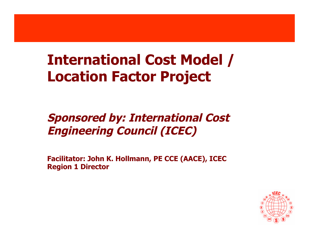#### **International Cost Model / Location Factor Project**

#### **Sponsored by: International Cost Engineering Council (ICEC)**

**Facilitator: John K. Hollmann, PE CCE (AACE), ICEC Region 1 Director**

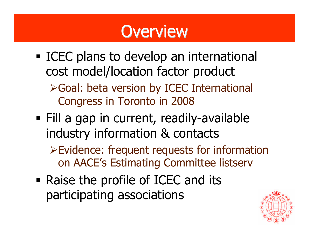## **Overview**

- **ICEC** plans to develop an international cost model/location factor product Goal: beta version by ICEC International
	- Congress in Toronto in 2008
- Fill a gap in current, readily-available industry information & contacts
	- Evidence: frequent requests for information on AACE's Estimating Committee listserv
- Raise the profile of ICEC and its participating associations

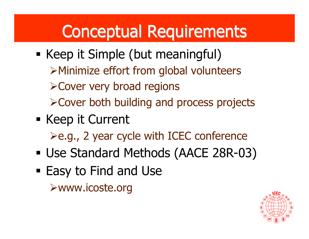# Conceptual Requirements

- Keep it Simple (but meaningful) Minimize effort from global volunteers Cover very broad regions Cover both building and process projects
- Keep it Current  $\geq$ e.g., 2 year cycle with ICEC conference
- Use Standard Methods (AACE 28R-03)
- Easy to Find and Use www.icoste.org

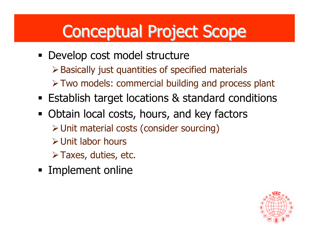# Conceptual Project Scope

- Develop cost model structure  $\triangleright$  Basically just quantities of specified materials Two models: commercial building and process plant
- Establish target locations & standard conditions
- Obtain local costs, hours, and key factors Unit material costs (consider sourcing) Unit labor hours  $\triangleright$  Taxes, duties, etc.
- **Implement online**

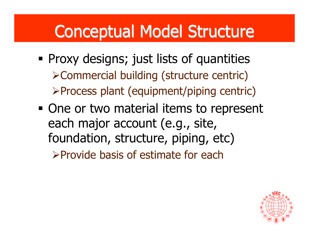### Conceptual Model Structure

- Proxy designs; just lists of quantities Commercial building (structure centric) Process plant (equipment/piping centric)
- One or two material items to represent each major account (e.g., site, foundation, structure, piping, etc) Provide basis of estimate for each

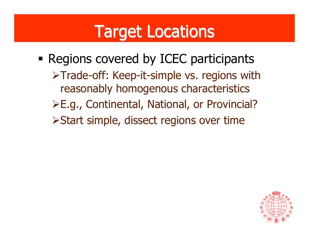### Target Locations

**- Regions covered by ICEC participants** >Trade-off: Keep-it-simple vs. regions with reasonably homogenous characteristics E.g., Continental, National, or Provincial? Start simple, dissect regions over time

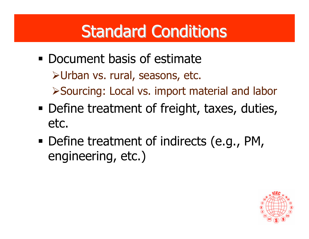# **Standard Conditions**

- **Document basis of estimate** Urban vs. rural, seasons, etc. Sourcing: Local vs. import material and labor
- Define treatment of freight, taxes, duties, etc.
- **Define treatment of indirects (e.g., PM,** engineering, etc.)

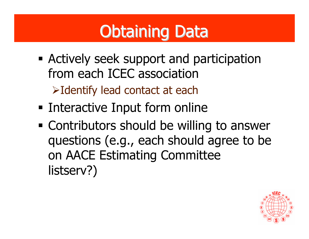# Obtaining Data

- Actively seek support and participation from each ICEC association Identify lead contact at each
- **Example 1 Interactive Input form online**
- Contributors should be willing to answer questions (e.g., each should agree to be on AACE Estimating Committee listserv?)

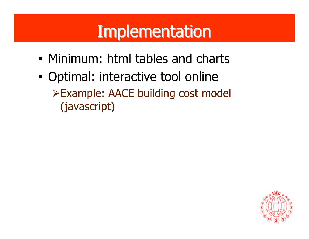## **Implementation**

- Minimum: html tables and charts
- Optimal: interactive tool online Example: AACE building cost model (javascript)